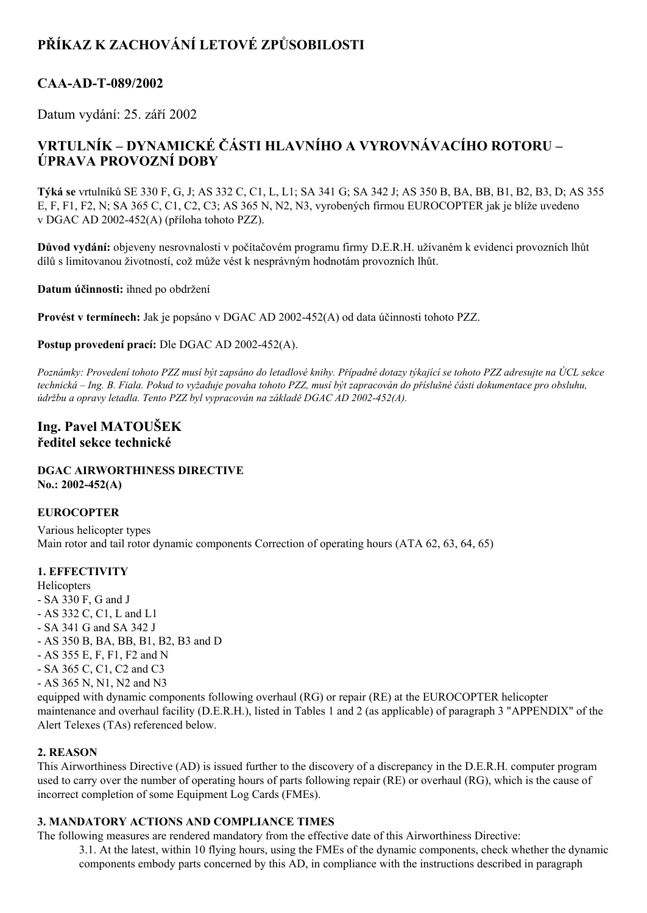# **PŘÍKAZ K ZACHOVÁNÍ LETOVÉ ZPŮSOBILOSTI**

## CAA-AD-T-089/2002

Datum vydání: 25. září 2002

# **VRTULNÍK – DYNAMICKÉ ČÁSTI HLAVNÍHO A VYROVNÁVACÍHO ROTORU – ÚPRAVA PROVOZNÍ DOBY**

**Týká se** vrtulníků SE 330 F, G, J; AS 332 C, C1, L, L1; SA 341 G; SA 342 J; AS 350 B, BA, BB, B1, B2, B3, D; AS 355 E, F, F1, F2, N; SA 365 C, C1, C2, C3; AS 365 N, N2, N3, vyrobených firmou EUROCOPTER jak je blíže uvedeno v DGAC AD 2002452(A) (příloha tohoto PZZ).

**Důvod vydání:** objeveny nesrovnalosti v počítačovém programu firmy D.E.R.H. užívaném k evidenci provozních lhůt dílů s limitovanou životností, což může vést k nesprávným hodnotám provozních lhůt.

**Datum účinnosti:** ihned po obdržení

**Provést v termínech:** Jak je popsáno v DGAC AD 2002452(A) od data účinnosti tohoto PZZ.

Postup provedení prací: Dle DGAC AD 2002-452(A).

Poznámky: Provedení tohoto PZZ musí být zapsáno do letadlové knihy. Případné dotazy týkající se tohoto PZZ adresujte na ÚCL sekce technická – Ing. B. Fiala. Pokud to vyžaduje povaha tohoto PZZ, musí být zapracován do příslušné části dokumentace pro obsluhu, *údržbu a opravy letadla. Tento PZZ byl vypracován na základě DGAC AD 2002452(A).*

### **Ing. Pavel MATOUŠEK ředitel sekce technické**

**DGAC AIRWORTHINESS DIRECTIVE No.: 2002-452(A)** 

#### **EUROCOPTER**

Various helicopter types Main rotor and tail rotor dynamic components Correction of operating hours (ATA 62, 63, 64, 65)

### **1. EFFECTIVITY**

**Helicopters** 

- SA 330 F, G and J
- AS 332 C, C1, L and L1
- SA 341 G and SA 342 J
- AS 350 B, BA, BB, B1, B2, B3 and D
- AS 355 E, F, F1, F2 and N
- SA 365 C, C1, C2 and C3
- AS 365 N, N1, N2 and N3

equipped with dynamic components following overhaul (RG) or repair (RE) at the EUROCOPTER helicopter maintenance and overhaul facility (D.E.R.H.), listed in Tables 1 and 2 (as applicable) of paragraph 3 "APPENDIX" of the Alert Telexes (TAs) referenced below.

#### **2. REASON**

This Airworthiness Directive (AD) is issued further to the discovery of a discrepancy in the D.E.R.H. computer program used to carry over the number of operating hours of parts following repair (RE) or overhaul (RG), which is the cause of incorrect completion of some Equipment Log Cards (FMEs).

#### **3. MANDATORY ACTIONS AND COMPLIANCE TIMES**

The following measures are rendered mandatory from the effective date of this Airworthiness Directive:

3.1. At the latest, within 10 flying hours, using the FMEs of the dynamic components, check whether the dynamic components embody parts concerned by this AD, in compliance with the instructions described in paragraph